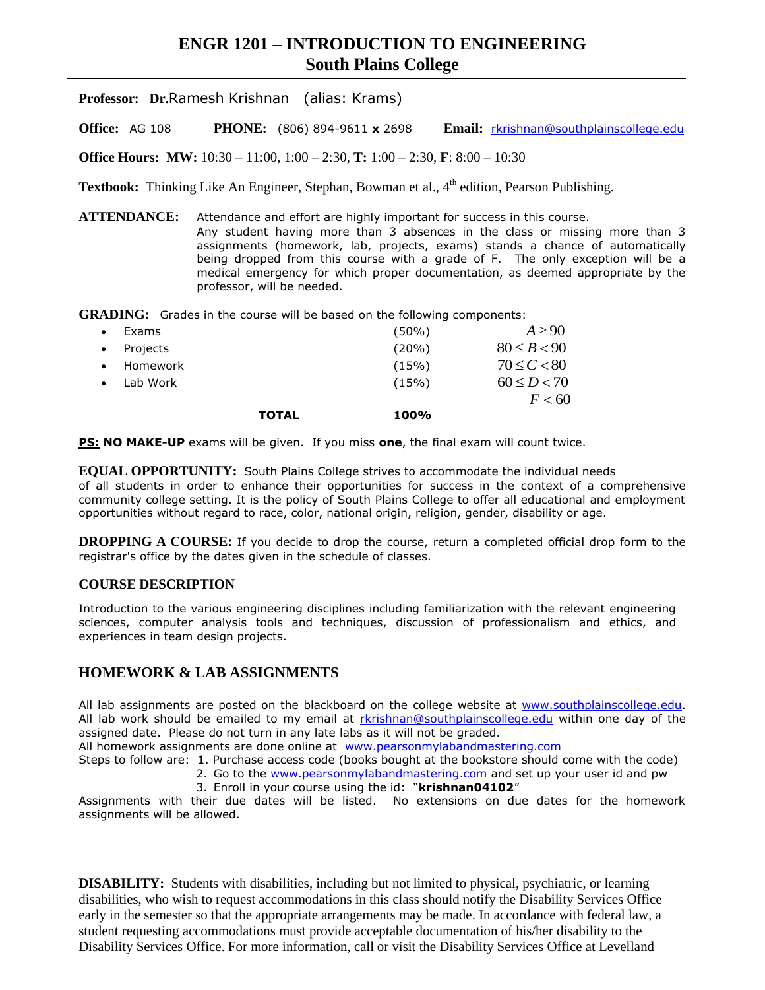# **ENGR 1201 – INTRODUCTION TO ENGINEERING South Plains College**

**Professor: Dr.**Ramesh Krishnan (alias: Krams)

**Office:** AG 108 **PHONE:** (806) 894-9611 **x** 2698 **Email:** [rkrishnan@southplainscollege.edu](mailto:rkrishnan@southplainscollege.edu)

**Office Hours: MW:** 10:30 – 11:00, 1:00 – 2:30, **T:** 1:00 – 2:30, **F**: 8:00 – 10:30

Textbook: Thinking Like An Engineer, Stephan, Bowman et al., 4<sup>th</sup> edition, Pearson Publishing.

**ATTENDANCE:** Attendance and effort are highly important for success in this course. Any student having more than 3 absences in the class or missing more than 3 assignments (homework, lab, projects, exams) stands a chance of automatically being dropped from this course with a grade of F. The only exception will be a medical emergency for which proper documentation, as deemed appropriate by the professor, will be needed.

GRADING: Grades in the course will be based on the following components:

|          | <b>TOTAL</b> | 100%  | F < 60          |
|----------|--------------|-------|-----------------|
|          |              |       |                 |
| Lab Work |              | (15%) | $60 \le D < 70$ |
| Homework |              | (15%) | $70 \le C < 80$ |
| Projects |              | (20%) | $80 \le B < 90$ |
| Exams    |              | (50%) | $A \geq 90$     |

**PS: NO MAKE-UP** exams will be given. If you miss **one**, the final exam will count twice.

**EQUAL OPPORTUNITY:** South Plains College strives to accommodate the individual needs of all students in order to enhance their opportunities for success in the context of a comprehensive community college setting. It is the policy of South Plains College to offer all educational and employment opportunities without regard to race, color, national origin, religion, gender, disability or age.

**DROPPING A COURSE:** If you decide to drop the course, return a completed official drop form to the registrar's office by the dates given in the schedule of classes.

#### **COURSE DESCRIPTION**

Introduction to the various engineering disciplines including familiarization with the relevant engineering sciences, computer analysis tools and techniques, discussion of professionalism and ethics, and experiences in team design projects.

## **HOMEWORK & LAB ASSIGNMENTS**

All lab assignments are posted on the blackboard on the college website at [www.southplainscollege.edu.](http://www.southplainscollege.edu/) All lab work should be emailed to my email at [rkrishnan@southplainscollege.edu](mailto:rkrishnan@southplainscollege.edu) within one day of the assigned date. Please do not turn in any late labs as it will not be graded.

All homework assignments are done online at [www.pearsonmylabandmastering.com](http://www.pearsonmylabandmastering.com/)

- Steps to follow are: 1. Purchase access code (books bought at the bookstore should come with the code)
	- 2. Go to the [www.pearsonmylabandmastering.com](http://www.pearsonmylabandmastering.com/) and set up your user id and pw
	- 3. Enroll in your course using the id: "**krishnan04102**"

Assignments with their due dates will be listed. No extensions on due dates for the homework assignments will be allowed.

**DISABILITY:** Students with disabilities, including but not limited to physical, psychiatric, or learning disabilities, who wish to request accommodations in this class should notify the Disability Services Office early in the semester so that the appropriate arrangements may be made. In accordance with federal law, a student requesting accommodations must provide acceptable documentation of his/her disability to the Disability Services Office. For more information, call or visit the Disability Services Office at Levelland